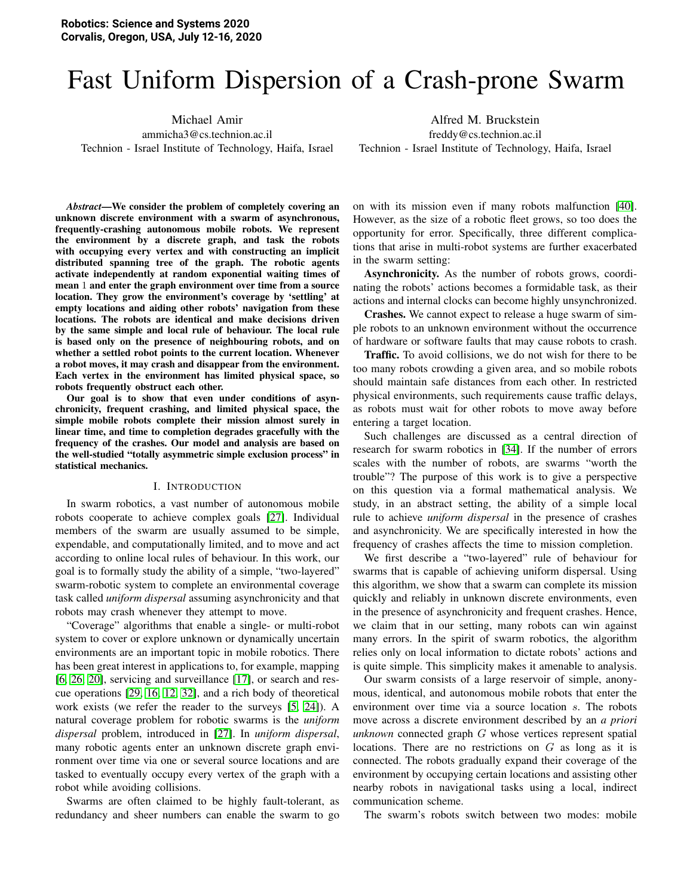# Fast Uniform Dispersion of a Crash-prone Swarm

Michael Amir

ammicha3@cs.technion.ac.il Technion - Israel Institute of Technology, Haifa, Israel

Alfred M. Bruckstein freddy@cs.technion.ac.il Technion - Israel Institute of Technology, Haifa, Israel

*Abstract*—We consider the problem of completely covering an unknown discrete environment with a swarm of asynchronous, frequently-crashing autonomous mobile robots. We represent the environment by a discrete graph, and task the robots with occupying every vertex and with constructing an implicit distributed spanning tree of the graph. The robotic agents activate independently at random exponential waiting times of mean 1 and enter the graph environment over time from a source location. They grow the environment's coverage by 'settling' at empty locations and aiding other robots' navigation from these locations. The robots are identical and make decisions driven by the same simple and local rule of behaviour. The local rule is based only on the presence of neighbouring robots, and on whether a settled robot points to the current location. Whenever a robot moves, it may crash and disappear from the environment. Each vertex in the environment has limited physical space, so robots frequently obstruct each other.

Our goal is to show that even under conditions of asynchronicity, frequent crashing, and limited physical space, the simple mobile robots complete their mission almost surely in linear time, and time to completion degrades gracefully with the frequency of the crashes. Our model and analysis are based on the well-studied "totally asymmetric simple exclusion process" in statistical mechanics.

#### I. INTRODUCTION

In swarm robotics, a vast number of autonomous mobile robots cooperate to achieve complex goals [\[27\]](#page-8-0). Individual members of the swarm are usually assumed to be simple, expendable, and computationally limited, and to move and act according to online local rules of behaviour. In this work, our goal is to formally study the ability of a simple, "two-layered" swarm-robotic system to complete an environmental coverage task called *uniform dispersal* assuming asynchronicity and that robots may crash whenever they attempt to move.

"Coverage" algorithms that enable a single- or multi-robot system to cover or explore unknown or dynamically uncertain environments are an important topic in mobile robotics. There has been great interest in applications to, for example, mapping [\[6,](#page-8-1) [26,](#page-8-2) [20\]](#page-8-3), servicing and surveillance [\[17\]](#page-8-4), or search and rescue operations [\[29,](#page-9-0) [16,](#page-8-5) [12,](#page-8-6) [32\]](#page-9-1), and a rich body of theoretical work exists (we refer the reader to the surveys [\[5,](#page-8-7) [24\]](#page-8-8)). A natural coverage problem for robotic swarms is the *uniform dispersal* problem, introduced in [\[27\]](#page-8-0). In *uniform dispersal*, many robotic agents enter an unknown discrete graph environment over time via one or several source locations and are tasked to eventually occupy every vertex of the graph with a robot while avoiding collisions.

Swarms are often claimed to be highly fault-tolerant, as redundancy and sheer numbers can enable the swarm to go on with its mission even if many robots malfunction [\[40\]](#page-9-2). However, as the size of a robotic fleet grows, so too does the opportunity for error. Specifically, three different complications that arise in multi-robot systems are further exacerbated in the swarm setting:

Asynchronicity. As the number of robots grows, coordinating the robots' actions becomes a formidable task, as their actions and internal clocks can become highly unsynchronized.

Crashes. We cannot expect to release a huge swarm of simple robots to an unknown environment without the occurrence of hardware or software faults that may cause robots to crash.

Traffic. To avoid collisions, we do not wish for there to be too many robots crowding a given area, and so mobile robots should maintain safe distances from each other. In restricted physical environments, such requirements cause traffic delays, as robots must wait for other robots to move away before entering a target location.

Such challenges are discussed as a central direction of research for swarm robotics in [\[34\]](#page-9-3). If the number of errors scales with the number of robots, are swarms "worth the trouble"? The purpose of this work is to give a perspective on this question via a formal mathematical analysis. We study, in an abstract setting, the ability of a simple local rule to achieve *uniform dispersal* in the presence of crashes and asynchronicity. We are specifically interested in how the frequency of crashes affects the time to mission completion.

We first describe a "two-layered" rule of behaviour for swarms that is capable of achieving uniform dispersal. Using this algorithm, we show that a swarm can complete its mission quickly and reliably in unknown discrete environments, even in the presence of asynchronicity and frequent crashes. Hence, we claim that in our setting, many robots can win against many errors. In the spirit of swarm robotics, the algorithm relies only on local information to dictate robots' actions and is quite simple. This simplicity makes it amenable to analysis.

Our swarm consists of a large reservoir of simple, anonymous, identical, and autonomous mobile robots that enter the environment over time via a source location s. The robots move across a discrete environment described by an *a priori unknown* connected graph G whose vertices represent spatial locations. There are no restrictions on  $G$  as long as it is connected. The robots gradually expand their coverage of the environment by occupying certain locations and assisting other nearby robots in navigational tasks using a local, indirect communication scheme.

The swarm's robots switch between two modes: mobile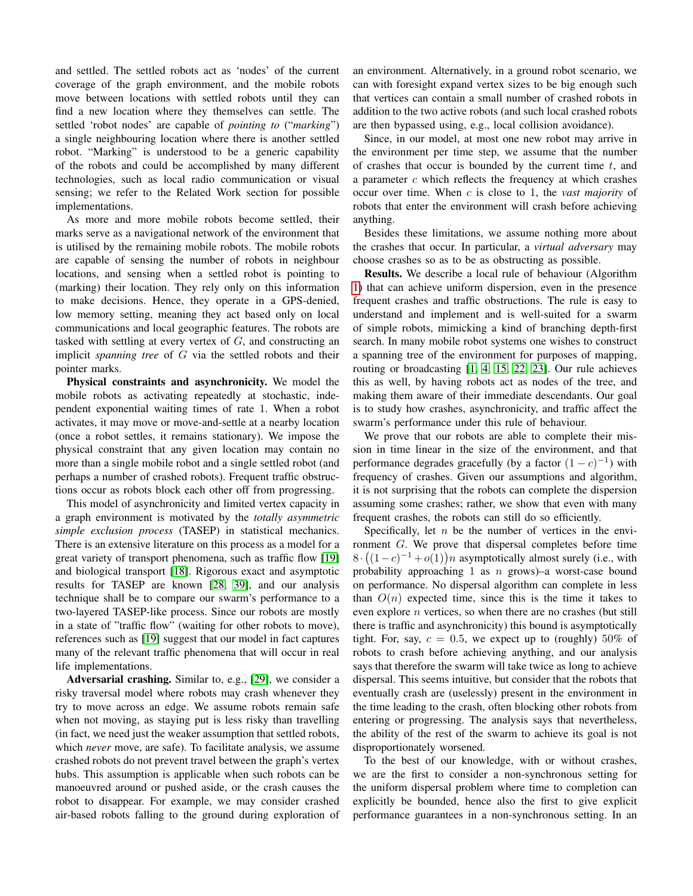and settled. The settled robots act as 'nodes' of the current coverage of the graph environment, and the mobile robots move between locations with settled robots until they can find a new location where they themselves can settle. The settled 'robot nodes' are capable of *pointing to* ("*marking*") a single neighbouring location where there is another settled robot. "Marking" is understood to be a generic capability of the robots and could be accomplished by many different technologies, such as local radio communication or visual sensing; we refer to the Related Work section for possible implementations.

As more and more mobile robots become settled, their marks serve as a navigational network of the environment that is utilised by the remaining mobile robots. The mobile robots are capable of sensing the number of robots in neighbour locations, and sensing when a settled robot is pointing to (marking) their location. They rely only on this information to make decisions. Hence, they operate in a GPS-denied, low memory setting, meaning they act based only on local communications and local geographic features. The robots are tasked with settling at every vertex of  $G$ , and constructing an implicit *spanning tree* of G via the settled robots and their pointer marks.

Physical constraints and asynchronicity. We model the mobile robots as activating repeatedly at stochastic, independent exponential waiting times of rate 1. When a robot activates, it may move or move-and-settle at a nearby location (once a robot settles, it remains stationary). We impose the physical constraint that any given location may contain no more than a single mobile robot and a single settled robot (and perhaps a number of crashed robots). Frequent traffic obstructions occur as robots block each other off from progressing.

This model of asynchronicity and limited vertex capacity in a graph environment is motivated by the *totally asymmetric simple exclusion process* (TASEP) in statistical mechanics. There is an extensive literature on this process as a model for a great variety of transport phenomena, such as traffic flow [\[19\]](#page-8-9) and biological transport [\[18\]](#page-8-10). Rigorous exact and asymptotic results for TASEP are known [\[28,](#page-8-11) [39\]](#page-9-4), and our analysis technique shall be to compare our swarm's performance to a two-layered TASEP-like process. Since our robots are mostly in a state of "traffic flow" (waiting for other robots to move), references such as [\[19\]](#page-8-9) suggest that our model in fact captures many of the relevant traffic phenomena that will occur in real life implementations.

Adversarial crashing. Similar to, e.g., [\[29\]](#page-9-0), we consider a risky traversal model where robots may crash whenever they try to move across an edge. We assume robots remain safe when not moving, as staying put is less risky than travelling (in fact, we need just the weaker assumption that settled robots, which *never* move, are safe). To facilitate analysis, we assume crashed robots do not prevent travel between the graph's vertex hubs. This assumption is applicable when such robots can be manoeuvred around or pushed aside, or the crash causes the robot to disappear. For example, we may consider crashed air-based robots falling to the ground during exploration of an environment. Alternatively, in a ground robot scenario, we can with foresight expand vertex sizes to be big enough such that vertices can contain a small number of crashed robots in addition to the two active robots (and such local crashed robots are then bypassed using, e.g., local collision avoidance).

Since, in our model, at most one new robot may arrive in the environment per time step, we assume that the number of crashes that occur is bounded by the current time  $t$ , and a parameter  $c$  which reflects the frequency at which crashes occur over time. When c is close to 1, the *vast majority* of robots that enter the environment will crash before achieving anything.

Besides these limitations, we assume nothing more about the crashes that occur. In particular, a *virtual adversary* may choose crashes so as to be as obstructing as possible.

Results. We describe a local rule of behaviour (Algorithm [1\)](#page-3-0) that can achieve uniform dispersion, even in the presence frequent crashes and traffic obstructions. The rule is easy to understand and implement and is well-suited for a swarm of simple robots, mimicking a kind of branching depth-first search. In many mobile robot systems one wishes to construct a spanning tree of the environment for purposes of mapping, routing or broadcasting [\[1,](#page-7-0) [4,](#page-8-12) [15,](#page-8-13) [22,](#page-8-14) [23\]](#page-8-15). Our rule achieves this as well, by having robots act as nodes of the tree, and making them aware of their immediate descendants. Our goal is to study how crashes, asynchronicity, and traffic affect the swarm's performance under this rule of behaviour.

We prove that our robots are able to complete their mission in time linear in the size of the environment, and that performance degrades gracefully (by a factor  $(1-c)^{-1}$ ) with frequency of crashes. Given our assumptions and algorithm, it is not surprising that the robots can complete the dispersion assuming some crashes; rather, we show that even with many frequent crashes, the robots can still do so efficiently.

Specifically, let  $n$  be the number of vertices in the environment G. We prove that dispersal completes before time  $8 \cdot ((1-c)^{-1} + o(1))n$  asymptotically almost surely (i.e., with probability approaching 1 as  $n$  grows)–a worst-case bound on performance. No dispersal algorithm can complete in less than  $O(n)$  expected time, since this is the time it takes to even explore n vertices, so when there are no crashes (but still there is traffic and asynchronicity) this bound is asymptotically tight. For, say,  $c = 0.5$ , we expect up to (roughly) 50% of robots to crash before achieving anything, and our analysis says that therefore the swarm will take twice as long to achieve dispersal. This seems intuitive, but consider that the robots that eventually crash are (uselessly) present in the environment in the time leading to the crash, often blocking other robots from entering or progressing. The analysis says that nevertheless, the ability of the rest of the swarm to achieve its goal is not disproportionately worsened.

To the best of our knowledge, with or without crashes, we are the first to consider a non-synchronous setting for the uniform dispersal problem where time to completion can explicitly be bounded, hence also the first to give explicit performance guarantees in a non-synchronous setting. In an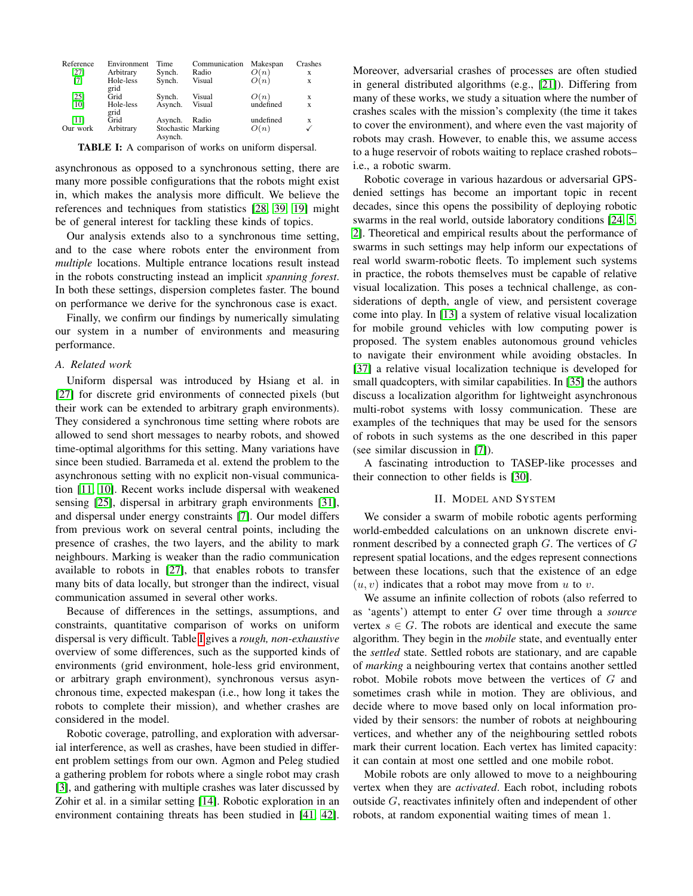<span id="page-2-0"></span>

| Reference | Environment | Time               | Communication | Makespan  | Crashes |
|-----------|-------------|--------------------|---------------|-----------|---------|
| [27]      | Arbitrary   | Synch.             | Radio         | O(n)      | x       |
| [7]       | Hole-less   | Synch.             | Visual        | O(n)      | X       |
|           | grid        |                    |               |           |         |
| [25]      | Grid        | Synch.             | Visual        | O(n)      | X       |
| [10]      | Hole-less   | Asynch.            | Visual        | undefined | X       |
|           | grid        |                    |               |           |         |
| [11]      | Grid        | Asynch.            | Radio         | undefined | X       |
| Our work  | Arbitrary   | Stochastic Marking |               | O(n)      | ✓       |
|           |             | Asynch.            |               |           |         |

TABLE I: A comparison of works on uniform dispersal.

asynchronous as opposed to a synchronous setting, there are many more possible configurations that the robots might exist in, which makes the analysis more difficult. We believe the references and techniques from statistics [\[28,](#page-8-11) [39,](#page-9-4) [19\]](#page-8-9) might be of general interest for tackling these kinds of topics.

Our analysis extends also to a synchronous time setting, and to the case where robots enter the environment from *multiple* locations. Multiple entrance locations result instead in the robots constructing instead an implicit *spanning forest*. In both these settings, dispersion completes faster. The bound on performance we derive for the synchronous case is exact.

Finally, we confirm our findings by numerically simulating our system in a number of environments and measuring performance.

#### *A. Related work*

Uniform dispersal was introduced by Hsiang et al. in [\[27\]](#page-8-0) for discrete grid environments of connected pixels (but their work can be extended to arbitrary graph environments). They considered a synchronous time setting where robots are allowed to send short messages to nearby robots, and showed time-optimal algorithms for this setting. Many variations have since been studied. Barrameda et al. extend the problem to the asynchronous setting with no explicit non-visual communication [\[11,](#page-8-19) [10\]](#page-8-18). Recent works include dispersal with weakened sensing [\[25\]](#page-8-17), dispersal in arbitrary graph environments [\[31\]](#page-9-5), and dispersal under energy constraints [\[7\]](#page-8-16). Our model differs from previous work on several central points, including the presence of crashes, the two layers, and the ability to mark neighbours. Marking is weaker than the radio communication available to robots in [\[27\]](#page-8-0), that enables robots to transfer many bits of data locally, but stronger than the indirect, visual communication assumed in several other works.

Because of differences in the settings, assumptions, and constraints, quantitative comparison of works on uniform dispersal is very difficult. Table [I](#page-2-0) gives a *rough, non-exhaustive* overview of some differences, such as the supported kinds of environments (grid environment, hole-less grid environment, or arbitrary graph environment), synchronous versus asynchronous time, expected makespan (i.e., how long it takes the robots to complete their mission), and whether crashes are considered in the model.

Robotic coverage, patrolling, and exploration with adversarial interference, as well as crashes, have been studied in different problem settings from our own. Agmon and Peleg studied a gathering problem for robots where a single robot may crash [\[3\]](#page-8-20), and gathering with multiple crashes was later discussed by Zohir et al. in a similar setting [\[14\]](#page-8-21). Robotic exploration in an environment containing threats has been studied in [\[41,](#page-9-6) [42\]](#page-9-7). Moreover, adversarial crashes of processes are often studied in general distributed algorithms (e.g., [\[21\]](#page-8-22)). Differing from many of these works, we study a situation where the number of crashes scales with the mission's complexity (the time it takes to cover the environment), and where even the vast majority of robots may crash. However, to enable this, we assume access to a huge reservoir of robots waiting to replace crashed robots– i.e., a robotic swarm.

Robotic coverage in various hazardous or adversarial GPSdenied settings has become an important topic in recent decades, since this opens the possibility of deploying robotic swarms in the real world, outside laboratory conditions [\[24,](#page-8-8) [5,](#page-8-7) [2\]](#page-8-23). Theoretical and empirical results about the performance of swarms in such settings may help inform our expectations of real world swarm-robotic fleets. To implement such systems in practice, the robots themselves must be capable of relative visual localization. This poses a technical challenge, as considerations of depth, angle of view, and persistent coverage come into play. In [\[13\]](#page-8-24) a system of relative visual localization for mobile ground vehicles with low computing power is proposed. The system enables autonomous ground vehicles to navigate their environment while avoiding obstacles. In [\[37\]](#page-9-8) a relative visual localization technique is developed for small quadcopters, with similar capabilities. In [\[35\]](#page-9-9) the authors discuss a localization algorithm for lightweight asynchronous multi-robot systems with lossy communication. These are examples of the techniques that may be used for the sensors of robots in such systems as the one described in this paper (see similar discussion in [\[7\]](#page-8-16)).

A fascinating introduction to TASEP-like processes and their connection to other fields is [\[30\]](#page-9-10).

#### II. MODEL AND SYSTEM

<span id="page-2-1"></span>We consider a swarm of mobile robotic agents performing world-embedded calculations on an unknown discrete environment described by a connected graph  $G$ . The vertices of  $G$ represent spatial locations, and the edges represent connections between these locations, such that the existence of an edge  $(u, v)$  indicates that a robot may move from u to v.

We assume an infinite collection of robots (also referred to as 'agents') attempt to enter G over time through a *source* vertex  $s \in G$ . The robots are identical and execute the same algorithm. They begin in the *mobile* state, and eventually enter the *settled* state. Settled robots are stationary, and are capable of *marking* a neighbouring vertex that contains another settled robot. Mobile robots move between the vertices of G and sometimes crash while in motion. They are oblivious, and decide where to move based only on local information provided by their sensors: the number of robots at neighbouring vertices, and whether any of the neighbouring settled robots mark their current location. Each vertex has limited capacity: it can contain at most one settled and one mobile robot.

Mobile robots are only allowed to move to a neighbouring vertex when they are *activated*. Each robot, including robots outside G, reactivates infinitely often and independent of other robots, at random exponential waiting times of mean 1.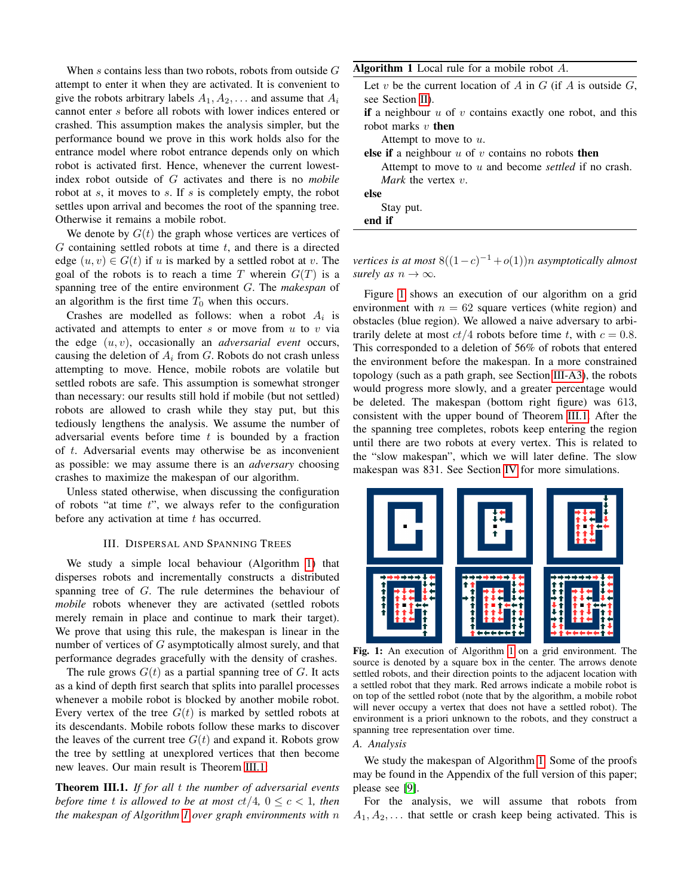When s contains less than two robots, robots from outside  $G$ attempt to enter it when they are activated. It is convenient to give the robots arbitrary labels  $A_1, A_2, \ldots$  and assume that  $A_i$ cannot enter s before all robots with lower indices entered or crashed. This assumption makes the analysis simpler, but the performance bound we prove in this work holds also for the entrance model where robot entrance depends only on which robot is activated first. Hence, whenever the current lowestindex robot outside of G activates and there is no *mobile* robot at  $s$ , it moves to  $s$ . If  $s$  is completely empty, the robot settles upon arrival and becomes the root of the spanning tree. Otherwise it remains a mobile robot.

We denote by  $G(t)$  the graph whose vertices are vertices of  $G$  containing settled robots at time  $t$ , and there is a directed edge  $(u, v) \in G(t)$  if u is marked by a settled robot at v. The goal of the robots is to reach a time T wherein  $G(T)$  is a spanning tree of the entire environment G. The *makespan* of an algorithm is the first time  $T_0$  when this occurs.

Crashes are modelled as follows: when a robot  $A_i$  is activated and attempts to enter  $s$  or move from  $u$  to  $v$  via the edge (u, v), occasionally an *adversarial event* occurs, causing the deletion of  $A_i$  from G. Robots do not crash unless attempting to move. Hence, mobile robots are volatile but settled robots are safe. This assumption is somewhat stronger than necessary: our results still hold if mobile (but not settled) robots are allowed to crash while they stay put, but this tediously lengthens the analysis. We assume the number of adversarial events before time  $t$  is bounded by a fraction of t. Adversarial events may otherwise be as inconvenient as possible: we may assume there is an *adversary* choosing crashes to maximize the makespan of our algorithm.

Unless stated otherwise, when discussing the configuration of robots "at time  $t$ ", we always refer to the configuration before any activation at time  $t$  has occurred.

#### III. DISPERSAL AND SPANNING TREES

We study a simple local behaviour (Algorithm [1\)](#page-3-0) that disperses robots and incrementally constructs a distributed spanning tree of G. The rule determines the behaviour of *mobile* robots whenever they are activated (settled robots merely remain in place and continue to mark their target). We prove that using this rule, the makespan is linear in the number of vertices of G asymptotically almost surely, and that performance degrades gracefully with the density of crashes.

The rule grows  $G(t)$  as a partial spanning tree of G. It acts as a kind of depth first search that splits into parallel processes whenever a mobile robot is blocked by another mobile robot. Every vertex of the tree  $G(t)$  is marked by settled robots at its descendants. Mobile robots follow these marks to discover the leaves of the current tree  $G(t)$  and expand it. Robots grow the tree by settling at unexplored vertices that then become new leaves. Our main result is Theorem [III.1:](#page-3-1)

<span id="page-3-1"></span>Theorem III.1. *If for all* t *the number of adversarial events before time t is allowed to be at most*  $ct/4$ ,  $0 \leq c < 1$ , then *the makespan of Algorithm [1](#page-3-0) over graph environments with* n <span id="page-3-0"></span>Algorithm 1 Local rule for a mobile robot A.

Let  $v$  be the current location of  $A$  in  $G$  (if  $A$  is outside  $G$ , see Section [II\)](#page-2-1).

if a neighbour  $u$  of  $v$  contains exactly one robot, and this robot marks  $v$  then

Attempt to move to u.

else if a neighbour  $u$  of  $v$  contains no robots then

Attempt to move to u and become *settled* if no crash. *Mark* the vertex v.

else

Stay put.

end if

*vertices is at most*  $8((1-c)^{-1} + o(1))n$  *asymptotically almost surely as*  $n \to \infty$ *.* 

Figure [1](#page-3-2) shows an execution of our algorithm on a grid environment with  $n = 62$  square vertices (white region) and obstacles (blue region). We allowed a naive adversary to arbitrarily delete at most  $ct/4$  robots before time t, with  $c = 0.8$ . This corresponded to a deletion of 56% of robots that entered the environment before the makespan. In a more constrained topology (such as a path graph, see Section [III-A3\)](#page-5-0), the robots would progress more slowly, and a greater percentage would be deleted. The makespan (bottom right figure) was 613, consistent with the upper bound of Theorem [III.1.](#page-3-1) After the the spanning tree completes, robots keep entering the region until there are two robots at every vertex. This is related to the "slow makespan", which we will later define. The slow makespan was 831. See Section [IV](#page-7-1) for more simulations.

<span id="page-3-2"></span>

Fig. 1: An execution of Algorithm [1](#page-3-0) on a grid environment. The source is denoted by a square box in the center. The arrows denote settled robots, and their direction points to the adjacent location with a settled robot that they mark. Red arrows indicate a mobile robot is on top of the settled robot (note that by the algorithm, a mobile robot will never occupy a vertex that does not have a settled robot). The environment is a priori unknown to the robots, and they construct a spanning tree representation over time.

### *A. Analysis*

We study the makespan of Algorithm [1.](#page-3-0) Some of the proofs may be found in the Appendix of the full version of this paper; please see [\[9\]](#page-8-25).

For the analysis, we will assume that robots from  $A_1, A_2, \ldots$  that settle or crash keep being activated. This is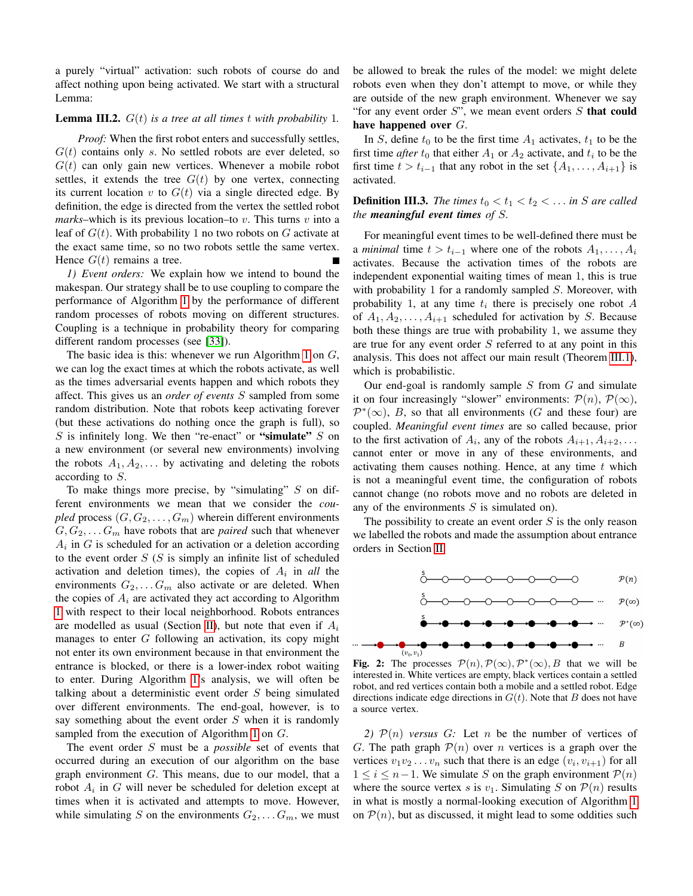a purely "virtual" activation: such robots of course do and affect nothing upon being activated. We start with a structural Lemma:

#### <span id="page-4-0"></span>Lemma III.2. G(t) *is a tree at all times* t *with probability* 1*.*

*Proof:* When the first robot enters and successfully settles,  $G(t)$  contains only s. No settled robots are ever deleted, so  $G(t)$  can only gain new vertices. Whenever a mobile robot settles, it extends the tree  $G(t)$  by one vertex, connecting its current location  $v$  to  $G(t)$  via a single directed edge. By definition, the edge is directed from the vertex the settled robot *marks*–which is its previous location–to v. This turns v into a leaf of  $G(t)$ . With probability 1 no two robots on G activate at the exact same time, so no two robots settle the same vertex. Hence  $G(t)$  remains a tree.

*1) Event orders:* We explain how we intend to bound the makespan. Our strategy shall be to use coupling to compare the performance of Algorithm [1](#page-3-0) by the performance of different random processes of robots moving on different structures. Coupling is a technique in probability theory for comparing different random processes (see [\[33\]](#page-9-11)).

The basic idea is this: whenever we run Algorithm [1](#page-3-0) on  $G$ , we can log the exact times at which the robots activate, as well as the times adversarial events happen and which robots they affect. This gives us an *order of events* S sampled from some random distribution. Note that robots keep activating forever (but these activations do nothing once the graph is full), so  $S$  is infinitely long. We then "re-enact" or "simulate"  $S$  on a new environment (or several new environments) involving the robots  $A_1, A_2, \ldots$  by activating and deleting the robots according to S.

To make things more precise, by "simulating"  $S$  on different environments we mean that we consider the *coupled* process  $(G, G_2, \ldots, G_m)$  wherein different environments  $G, G_2, \ldots, G_m$  have robots that are *paired* such that whenever  $A_i$  in  $G$  is scheduled for an activation or a deletion according to the event order  $S(S)$  is simply an infinite list of scheduled activation and deletion times), the copies of  $A_i$  in *all* the environments  $G_2, \ldots, G_m$  also activate or are deleted. When the copies of  $A_i$  are activated they act according to Algorithm [1](#page-3-0) with respect to their local neighborhood. Robots entrances are modelled as usual (Section [II\)](#page-2-1), but note that even if  $A_i$ manages to enter G following an activation, its copy might not enter its own environment because in that environment the entrance is blocked, or there is a lower-index robot waiting to enter. During Algorithm [1'](#page-3-0)s analysis, we will often be talking about a deterministic event order S being simulated over different environments. The end-goal, however, is to say something about the event order  $S$  when it is randomly sampled from the execution of Algorithm [1](#page-3-0) on G.

The event order S must be a *possible* set of events that occurred during an execution of our algorithm on the base graph environment  $G$ . This means, due to our model, that a robot  $A_i$  in G will never be scheduled for deletion except at times when it is activated and attempts to move. However, while simulating S on the environments  $G_2, \ldots, G_m$ , we must be allowed to break the rules of the model: we might delete robots even when they don't attempt to move, or while they are outside of the new graph environment. Whenever we say "for any event order  $S$ ", we mean event orders  $S$  that could have happened over G.

In S, define  $t_0$  to be the first time  $A_1$  activates,  $t_1$  to be the first time *after*  $t_0$  that either  $A_1$  or  $A_2$  activate, and  $t_i$  to be the first time  $t > t_{i-1}$  that any robot in the set  $\{A_1, \ldots, A_{i+1}\}$  is activated.

**Definition III.3.** *The times*  $t_0 < t_1 < t_2 < \ldots$  *in S* are called *the meaningful event times of* S*.*

For meaningful event times to be well-defined there must be a *minimal* time  $t > t_{i-1}$  where one of the robots  $A_1, \ldots, A_i$ activates. Because the activation times of the robots are independent exponential waiting times of mean 1, this is true with probability 1 for a randomly sampled  $S$ . Moreover, with probability 1, at any time  $t_i$  there is precisely one robot A of  $A_1, A_2, \ldots, A_{i+1}$  scheduled for activation by S. Because both these things are true with probability 1, we assume they are true for any event order S referred to at any point in this analysis. This does not affect our main result (Theorem [III.1\)](#page-3-1), which is probabilistic.

Our end-goal is randomly sample  $S$  from  $G$  and simulate it on four increasingly "slower" environments:  $\mathcal{P}(n)$ ,  $\mathcal{P}(\infty)$ ,  $\mathcal{P}^*(\infty)$ , B, so that all environments (G and these four) are coupled. *Meaningful event times* are so called because, prior to the first activation of  $A_i$ , any of the robots  $A_{i+1}, A_{i+2}, \ldots$ cannot enter or move in any of these environments, and activating them causes nothing. Hence, at any time  $t$  which is not a meaningful event time, the configuration of robots cannot change (no robots move and no robots are deleted in any of the environments  $S$  is simulated on).

The possibility to create an event order  $S$  is the only reason we labelled the robots and made the assumption about entrance orders in Section [II.](#page-2-1)



Fig. 2: The processes  $\mathcal{P}(n), \mathcal{P}(\infty), \mathcal{P}^*(\infty), B$  that we will be interested in. White vertices are empty, black vertices contain a settled robot, and red vertices contain both a mobile and a settled robot. Edge directions indicate edge directions in  $G(t)$ . Note that B does not have a source vertex.

2)  $\mathcal{P}(n)$  *versus* G: Let n be the number of vertices of G. The path graph  $P(n)$  over n vertices is a graph over the vertices  $v_1v_2 \ldots v_n$  such that there is an edge  $(v_i, v_{i+1})$  for all  $1 \leq i \leq n-1$ . We simulate S on the graph environment  $P(n)$ where the source vertex s is  $v_1$ . Simulating S on  $\mathcal{P}(n)$  results in what is mostly a normal-looking execution of Algorithm [1](#page-3-0) on  $P(n)$ , but as discussed, it might lead to some oddities such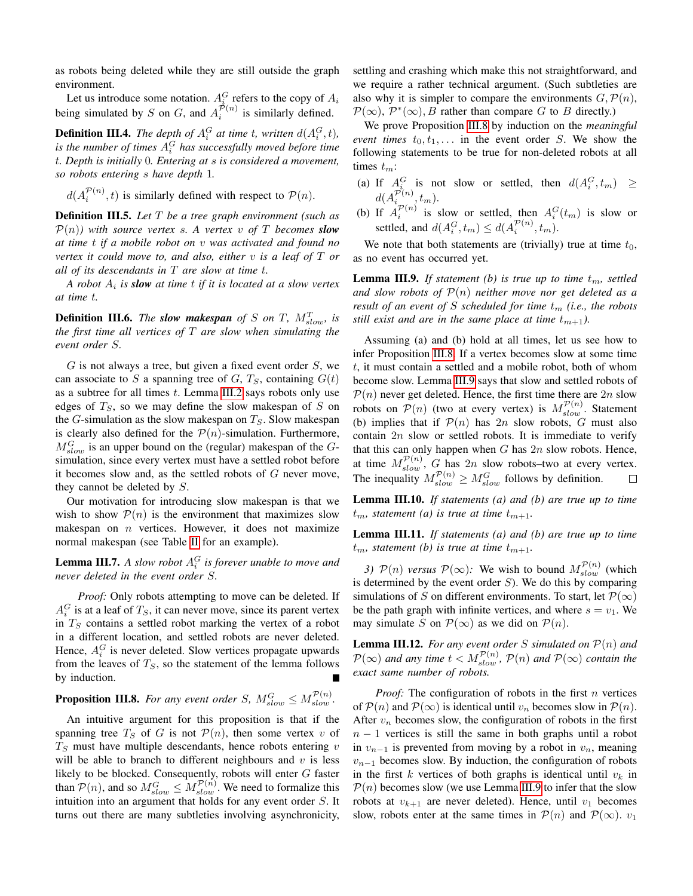as robots being deleted while they are still outside the graph environment.

Let us introduce some notation.  $A_i^G$  refers to the copy of  $A_i$ being simulated by S on G, and  $A_i^{\mathcal{P}(n)}$  is similarly defined.

**Definition III.4.** The depth of  $A_i^G$  at time t, written  $d(A_i^G, t)$ , is the number of times  $A_i^G$  has successfully moved before time t*. Depth is initially* 0*. Entering at* s *is considered a movement, so robots entering* s *have depth* 1*.*

 $d(A_i^{\mathcal{P}(n)}, t)$  is similarly defined with respect to  $\mathcal{P}(n)$ .

Definition III.5. *Let* T *be a tree graph environment (such as*  $\mathcal{P}(n)$ *)* with source vertex s. A vertex v of T becomes **slow** *at time* t *if a mobile robot on* v *was activated and found no vertex it could move to, and also, either* v *is a leaf of* T *or all of its descendants in* T *are slow at time* t*.*

*A robot* A<sup>i</sup> *is slow at time* t *if it is located at a slow vertex at time* t*.*

**Definition III.6.** The **slow makespan** of S on T,  $M_{slow}^T$ , is *the first time all vertices of* T *are slow when simulating the event order* S*.*

 $G$  is not always a tree, but given a fixed event order  $S$ , we can associate to S a spanning tree of  $G, T<sub>S</sub>$ , containing  $G(t)$ as a subtree for all times  $t$ . Lemma [III.2](#page-4-0) says robots only use edges of  $T<sub>S</sub>$ , so we may define the slow makespan of S on the G-simulation as the slow makespan on  $T<sub>S</sub>$ . Slow makespan is clearly also defined for the  $P(n)$ -simulation. Furthermore,  $M_{slow}^G$  is an upper bound on the (regular) makespan of the  $G$ simulation, since every vertex must have a settled robot before it becomes slow and, as the settled robots of  $G$  never move, they cannot be deleted by S.

Our motivation for introducing slow makespan is that we wish to show  $P(n)$  is the environment that maximizes slow makespan on  $n$  vertices. However, it does not maximize normal makespan (see Table [II](#page-7-2) for an example).

**Lemma III.7.** A slow robot  $A_i^G$  is forever unable to move and *never deleted in the event order* S*.*

*Proof:* Only robots attempting to move can be deleted. If  $A_i^G$  is at a leaf of  $T_S$ , it can never move, since its parent vertex in  $T<sub>S</sub>$  contains a settled robot marking the vertex of a robot in a different location, and settled robots are never deleted. Hence,  $A_i^G$  is never deleted. Slow vertices propagate upwards from the leaves of  $T<sub>S</sub>$ , so the statement of the lemma follows by induction.

## <span id="page-5-1"></span>**Proposition III.8.** For any event order S,  $M_{slow}^G \le M_{slow}^{\mathcal{P}(n)}$ .

An intuitive argument for this proposition is that if the spanning tree  $T<sub>S</sub>$  of G is not  $\mathcal{P}(n)$ , then some vertex v of  $T<sub>S</sub>$  must have multiple descendants, hence robots entering  $v$ will be able to branch to different neighbours and  $v$  is less likely to be blocked. Consequently, robots will enter G faster than  $P(n)$ , and so  $M_{slow}^G \le M_{slow}^{\mathcal{P}(n)}$ . We need to formalize this intuition into an argument that holds for any event order S. It turns out there are many subtleties involving asynchronicity, settling and crashing which make this not straightforward, and we require a rather technical argument. (Such subtleties are also why it is simpler to compare the environments  $G, \mathcal{P}(n)$ ,  $\mathcal{P}(\infty)$ ,  $\mathcal{P}^*(\infty)$ , *B* rather than compare *G* to *B* directly.)

We prove Proposition [III.8](#page-5-1) by induction on the *meaningful event times*  $t_0, t_1, \ldots$  in the event order S. We show the following statements to be true for non-deleted robots at all times  $t_m$ :

- (a) If  $A_i^G$  is not slow or settled, then  $d(A_i^G, t_m) \geq$  $i_{ij}$  is not slow of settled, then  $u(A_i)$  $d(A_{i_{\infty}}^{\mathcal{P}(n)},t_m).$
- (b) If  $A_P^{p(n)}$  is slow or settled, then  $A_i^G(t_m)$  is slow or settled, and  $d(A_i^G, t_m) \leq d(A_i^{\mathcal{P}(n)}, t_m)$ .

We note that both statements are (trivially) true at time  $t_0$ , as no event has occurred yet.

<span id="page-5-2"></span>**Lemma III.9.** If statement (b) is true up to time  $t_m$ , settled *and slow robots of* P(n) *neither move nor get deleted as a result of an event of* S *scheduled for time*  $t_m$  *(i.e., the robots still exist and are in the same place at time*  $t_{m+1}$ *).* 

Assuming (a) and (b) hold at all times, let us see how to infer Proposition [III.8.](#page-5-1) If a vertex becomes slow at some time t, it must contain a settled and a mobile robot, both of whom become slow. Lemma [III.9](#page-5-2) says that slow and settled robots of  $\mathcal{P}(n)$  never get deleted. Hence, the first time there are  $2n$  slow robots on  $P(n)$  (two at every vertex) is  $M_{slow}^{\mathcal{P}(n)}$ . Statement (b) implies that if  $\mathcal{P}(n)$  has  $2n$  slow robots, G must also contain  $2n$  slow or settled robots. It is immediate to verify that this can only happen when  $G$  has  $2n$  slow robots. Hence, at time  $M_{slow}^{\mathcal{P}(n)}$ , G has  $2n$  slow robots–two at every vertex. The inequality  $M_{slow}^{\mathcal{P}(n)} \geq M_{slow}^G$  follows by definition.

Lemma III.10. *If statements (a) and (b) are true up to time*  $t_m$ , statement (a) is true at time  $t_{m+1}$ .

Lemma III.11. *If statements (a) and (b) are true up to time*  $t_m$ , statement (b) is true at time  $t_{m+1}$ .

<span id="page-5-0"></span>3)  $P(n)$  *versus*  $P(\infty)$ : We wish to bound  $M_{slow}^{\mathcal{P}(n)}$  (which is determined by the event order  $S$ ). We do this by comparing simulations of S on different environments. To start, let  $\mathcal{P}(\infty)$ be the path graph with infinite vertices, and where  $s = v_1$ . We may simulate S on  $\mathcal{P}(\infty)$  as we did on  $\mathcal{P}(n)$ .

<span id="page-5-3"></span>**Lemma III.12.** For any event order S simulated on  $P(n)$  and  $\mathcal{P}(\infty)$  and any time  $t < M_{slow}^{\mathcal{P}(n)}$ ,  $\mathcal{P}(n)$  and  $\mathcal{P}(\infty)$  contain the *exact same number of robots.*

*Proof:* The configuration of robots in the first *n* vertices of  $\mathcal{P}(n)$  and  $\mathcal{P}(\infty)$  is identical until  $v_n$  becomes slow in  $\mathcal{P}(n)$ . After  $v_n$  becomes slow, the configuration of robots in the first  $n - 1$  vertices is still the same in both graphs until a robot in  $v_{n-1}$  is prevented from moving by a robot in  $v_n$ , meaning  $v_{n-1}$  becomes slow. By induction, the configuration of robots in the first k vertices of both graphs is identical until  $v_k$  in  $P(n)$  becomes slow (we use Lemma [III.9](#page-5-2) to infer that the slow robots at  $v_{k+1}$  are never deleted). Hence, until  $v_1$  becomes slow, robots enter at the same times in  $\mathcal{P}(n)$  and  $\mathcal{P}(\infty)$ .  $v_1$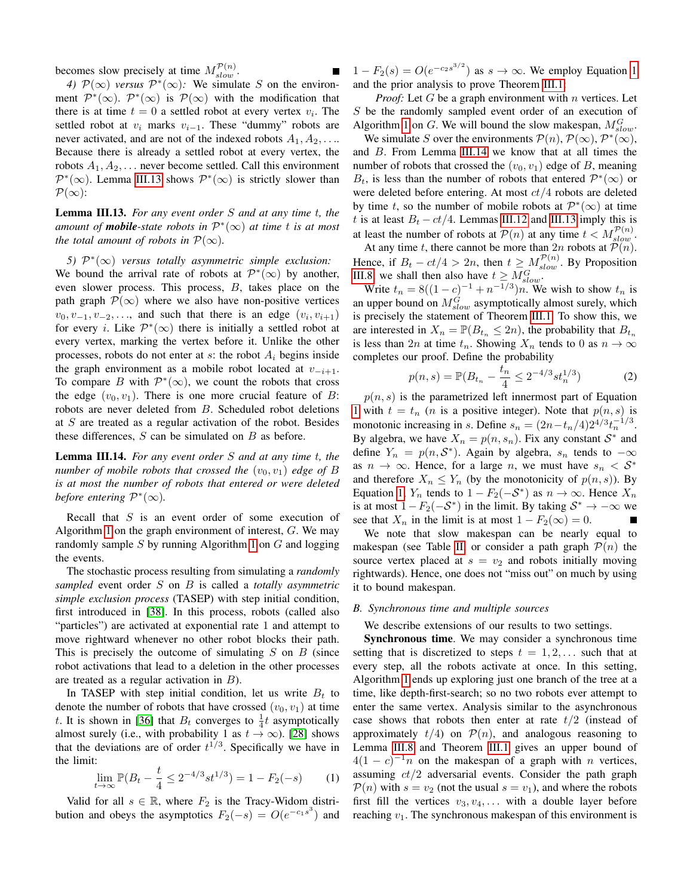becomes slow precisely at time  $M_{slow}^{\mathcal{P}(n)}$ .

4)  $\mathcal{P}(\infty)$  *versus*  $\mathcal{P}^*(\infty)$ : We simulate S on the environment  $\mathcal{P}^*(\infty)$ .  $\mathcal{P}^*(\infty)$  is  $\mathcal{P}(\infty)$  with the modification that there is at time  $t = 0$  a settled robot at every vertex  $v_i$ . The settled robot at  $v_i$  marks  $v_{i-1}$ . These "dummy" robots are never activated, and are not of the indexed robots  $A_1, A_2, \ldots$ Because there is already a settled robot at every vertex, the robots  $A_1, A_2, \ldots$  never become settled. Call this environment  $\mathcal{P}^*(\infty)$ . Lemma [III.13](#page-6-0) shows  $\mathcal{P}^*(\infty)$  is strictly slower than  $\mathcal{P}(\infty)$ :

<span id="page-6-0"></span>Lemma III.13. *For any event order* S *and at any time* t*, the amount of mobile-state robots in* P ∗ (∞) *at time* t *is at most the total amount of robots in*  $\mathcal{P}(\infty)$ *.* 

5)  $\mathcal{P}^*(\infty)$  versus totally asymmetric simple exclusion: We bound the arrival rate of robots at  $\mathcal{P}^*(\infty)$  by another, even slower process. This process, B, takes place on the path graph  $\mathcal{P}(\infty)$  where we also have non-positive vertices  $v_0, v_{-1}, v_{-2}, \ldots$ , and such that there is an edge  $(v_i, v_{i+1})$ for every *i*. Like  $\mathcal{P}^*(\infty)$  there is initially a settled robot at every vertex, marking the vertex before it. Unlike the other processes, robots do not enter at  $s$ : the robot  $A_i$  begins inside the graph environment as a mobile robot located at  $v_{-i+1}$ . To compare B with  $\mathcal{P}^*(\infty)$ , we count the robots that cross the edge  $(v_0, v_1)$ . There is one more crucial feature of B: robots are never deleted from B. Scheduled robot deletions at  $S$  are treated as a regular activation of the robot. Besides these differences,  $S$  can be simulated on  $B$  as before.

<span id="page-6-2"></span>Lemma III.14. *For any event order* S *and at any time* t*, the number of mobile robots that crossed the*  $(v_0, v_1)$  *edge of* B *is at most the number of robots that entered or were deleted before entering*  $\mathcal{P}^*(\infty)$ *.* 

Recall that  $S$  is an event order of some execution of Algorithm [1](#page-3-0) on the graph environment of interest,  $G$ . We may randomly sample  $S$  by running Algorithm [1](#page-3-0) on  $G$  and logging the events.

The stochastic process resulting from simulating a *randomly sampled* event order S on B is called a *totally asymmetric simple exclusion process* (TASEP) with step initial condition, first introduced in [\[38\]](#page-9-12). In this process, robots (called also "particles") are activated at exponential rate 1 and attempt to move rightward whenever no other robot blocks their path. This is precisely the outcome of simulating  $S$  on  $B$  (since robot activations that lead to a deletion in the other processes are treated as a regular activation in B).

In TASEP with step initial condition, let us write  $B_t$  to denote the number of robots that have crossed  $(v_0, v_1)$  at time t. It is shown in [\[36\]](#page-9-13) that  $B_t$  converges to  $\frac{1}{4}t$  asymptotically almost surely (i.e., with probability 1 as  $t \to \infty$ ). [\[28\]](#page-8-11) shows that the deviations are of order  $t^{1/3}$ . Specifically we have in the limit:

<span id="page-6-1"></span>
$$
\lim_{t \to \infty} \mathbb{P}(B_t - \frac{t}{4} \le 2^{-4/3} st^{1/3}) = 1 - F_2(-s) \tag{1}
$$

Valid for all  $s \in \mathbb{R}$ , where  $F_2$  is the Tracy-Widom distribution and obeys the asymptotics  $F_2(-s) = O(e^{-c_1 s^3})$  and  $1 - F_2(s) = O(e^{-c_2 s^{3/2}})$  as  $s \to \infty$ . We employ Equation [1](#page-6-1) and the prior analysis to prove Theorem [III.1:](#page-3-1)

*Proof:* Let  $G$  be a graph environment with  $n$  vertices. Let S be the randomly sampled event order of an execution of Algorithm [1](#page-3-0) on G. We will bound the slow makespan,  $M_{slow}^G$ .

We simulate S over the environments  $\mathcal{P}(n)$ ,  $\mathcal{P}(\infty)$ ,  $\mathcal{P}^*(\infty)$ , and B. From Lemma [III.14](#page-6-2) we know that at all times the number of robots that crossed the  $(v_0, v_1)$  edge of B, meaning  $B_t$ , is less than the number of robots that entered  $\mathcal{P}^*(\infty)$  or were deleted before entering. At most  $ct/4$  robots are deleted by time t, so the number of mobile robots at  $\mathcal{P}^*(\infty)$  at time t is at least  $B_t - ct/4$ . Lemmas [III.12](#page-5-3) and [III.13](#page-6-0) imply this is at least the number of robots at  $P(n)$  at any time  $t < M_{slow}^{\mathcal{P}(n)}$ .

At any time t, there cannot be more than  $2n$  robots at  $P(n)$ . Hence, if  $B_t - ct/4 > 2n$ , then  $t \geq M_{slow}^{\mathcal{P}(n)}$ . By Proposition [III.8,](#page-5-1) we shall then also have  $t \geq M_{slow}^G$ .

Write  $t_n = 8((1-c)^{-1} + n^{-1/3})n$ . We wish to show  $t_n$  is an upper bound on  $M_{slow}^G$  asymptotically almost surely, which is precisely the statement of Theorem [III.1.](#page-3-1) To show this, we are interested in  $X_n = \mathbb{P}(B_{t_n} \leq 2n)$ , the probability that  $B_{t_n}$ is less than 2n at time  $t_n$ . Showing  $X_n$  tends to 0 as  $n \to \infty$ completes our proof. Define the probability

$$
p(n,s) = \mathbb{P}(B_{t_n} - \frac{t_n}{4} \le 2^{-4/3} st_n^{1/3})
$$
 (2)

 $p(n, s)$  is the parametrized left innermost part of Equation [1](#page-6-1) with  $t = t_n$  (*n* is a positive integer). Note that  $p(n, s)$  is monotonic increasing in s. Define  $s_n = (2n - t_n/4)2^{4/3}t_n^{-1/3}$ . By algebra, we have  $X_n = p(n, s_n)$ . Fix any constant  $S^*$  and define  $Y_n = p(n, \mathcal{S}^*)$ . Again by algebra,  $s_n$  tends to  $-\infty$ as  $n \to \infty$ . Hence, for a large n, we must have  $s_n < S^*$ and therefore  $X_n \leq Y_n$  (by the monotonicity of  $p(n, s)$ ). By Equation [1,](#page-6-1)  $Y_n$  tends to  $1 - F_2(-S^*)$  as  $n \to \infty$ . Hence  $X_n$ is at most  $1 - F_2(-S^*)$  in the limit. By taking  $S^* \to -\infty$  we see that  $X_n$  in the limit is at most  $1 - F_2(\infty) = 0$ .

We note that slow makespan can be nearly equal to makespan (see Table [II,](#page-7-2) or consider a path graph  $P(n)$  the source vertex placed at  $s = v_2$  and robots initially moving rightwards). Hence, one does not "miss out" on much by using it to bound makespan.

#### *B. Synchronous time and multiple sources*

We describe extensions of our results to two settings.

Synchronous time. We may consider a synchronous time setting that is discretized to steps  $t = 1, 2, \ldots$  such that at every step, all the robots activate at once. In this setting, Algorithm [1](#page-3-0) ends up exploring just one branch of the tree at a time, like depth-first-search; so no two robots ever attempt to enter the same vertex. Analysis similar to the asynchronous case shows that robots then enter at rate  $t/2$  (instead of approximately  $t/4$ ) on  $\mathcal{P}(n)$ , and analogous reasoning to Lemma [III.8](#page-5-1) and Theorem [III.1](#page-3-1) gives an upper bound of  $4(1 - c)^{-1}n$  on the makespan of a graph with n vertices, assuming  $ct/2$  adversarial events. Consider the path graph  $P(n)$  with  $s = v_2$  (not the usual  $s = v_1$ ), and where the robots first fill the vertices  $v_3, v_4, \ldots$  with a double layer before reaching  $v_1$ . The synchronous makespan of this environment is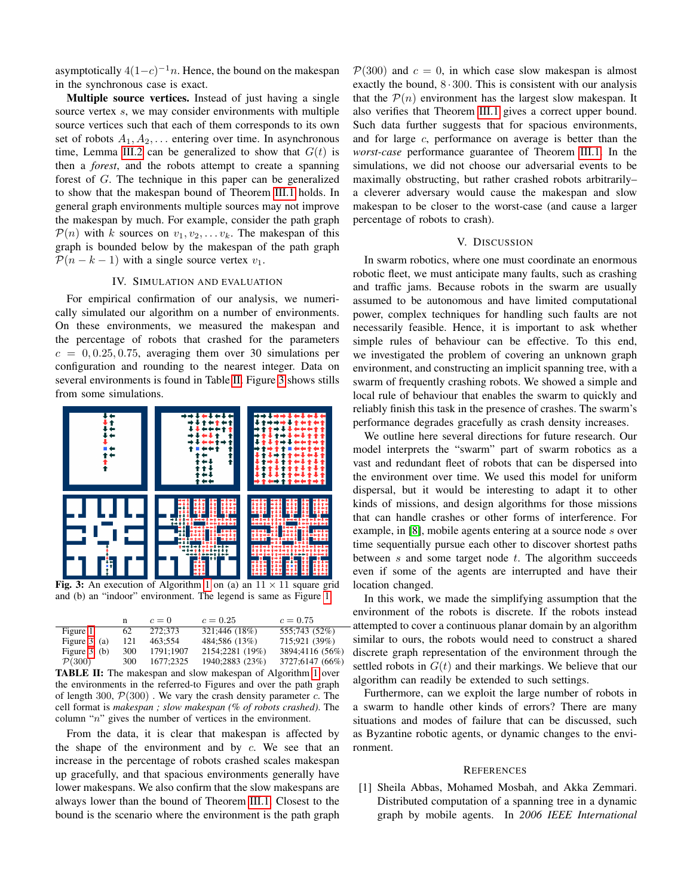asymptotically  $4(1-c)^{-1}n$ . Hence, the bound on the makespan in the synchronous case is exact.

Multiple source vertices. Instead of just having a single source vertex s, we may consider environments with multiple source vertices such that each of them corresponds to its own set of robots  $A_1, A_2, \ldots$  entering over time. In asynchronous time, Lemma [III.2](#page-4-0) can be generalized to show that  $G(t)$  is then a *forest*, and the robots attempt to create a spanning forest of G. The technique in this paper can be generalized to show that the makespan bound of Theorem [III.1](#page-3-1) holds. In general graph environments multiple sources may not improve the makespan by much. For example, consider the path graph  $\mathcal{P}(n)$  with k sources on  $v_1, v_2, \ldots v_k$ . The makespan of this graph is bounded below by the makespan of the path graph  $\mathcal{P}(n - k - 1)$  with a single source vertex  $v_1$ .

#### IV. SIMULATION AND EVALUATION

<span id="page-7-1"></span>For empirical confirmation of our analysis, we numerically simulated our algorithm on a number of environments. On these environments, we measured the makespan and the percentage of robots that crashed for the parameters  $c = 0, 0.25, 0.75$ , averaging them over 30 simulations per configuration and rounding to the nearest integer. Data on several environments is found in Table [II.](#page-7-2) Figure [3](#page-7-3) shows stills from some simulations.

<span id="page-7-3"></span>

Fig. 3: An execution of Algorithm [1](#page-3-0) on (a) an  $11 \times 11$  square grid and (b) an "indoor" environment. The legend is same as Figure [1.](#page-3-2)

<span id="page-7-2"></span>

|                    | n   | $c=0$     | $c = 0.25$      | $c = 0.75$      |
|--------------------|-----|-----------|-----------------|-----------------|
| Figure 1           | 62  | 272:373   | 321;446 (18%)   | 555;743 (52%)   |
| Figure $3$ , (a)   | 121 | 463:554   | 484:586 (13%)   | 715:921 (39%)   |
| Figure $3$ , (b)   | 300 | 1791:1907 | 2154;2281 (19%) | 3894;4116 (56%) |
| $\mathcal{P}(300)$ | 300 | 1677:2325 | 1940;2883 (23%) | 3727;6147 (66%) |

TABLE II: The makespan and slow makespan of Algorithm [1](#page-3-0) over the environments in the referred-to Figures and over the path graph of length 300,  $\mathcal{P}(300)$ . We vary the crash density parameter c. The cell format is *makespan ; slow makespan (% of robots crashed)*. The column "n" gives the number of vertices in the environment.

From the data, it is clear that makespan is affected by the shape of the environment and by  $c$ . We see that an increase in the percentage of robots crashed scales makespan up gracefully, and that spacious environments generally have lower makespans. We also confirm that the slow makespans are always lower than the bound of Theorem [III.1.](#page-3-1) Closest to the bound is the scenario where the environment is the path graph  $P(300)$  and  $c = 0$ , in which case slow makespan is almost exactly the bound,  $8 \cdot 300$ . This is consistent with our analysis that the  $P(n)$  environment has the largest slow makespan. It also verifies that Theorem [III.1](#page-3-1) gives a correct upper bound. Such data further suggests that for spacious environments, and for large c, performance on average is better than the *worst-case* performance guarantee of Theorem [III.1.](#page-3-1) In the simulations, we did not choose our adversarial events to be maximally obstructing, but rather crashed robots arbitrarily– a cleverer adversary would cause the makespan and slow makespan to be closer to the worst-case (and cause a larger percentage of robots to crash).

#### V. DISCUSSION

In swarm robotics, where one must coordinate an enormous robotic fleet, we must anticipate many faults, such as crashing and traffic jams. Because robots in the swarm are usually assumed to be autonomous and have limited computational power, complex techniques for handling such faults are not necessarily feasible. Hence, it is important to ask whether simple rules of behaviour can be effective. To this end, we investigated the problem of covering an unknown graph environment, and constructing an implicit spanning tree, with a swarm of frequently crashing robots. We showed a simple and local rule of behaviour that enables the swarm to quickly and reliably finish this task in the presence of crashes. The swarm's performance degrades gracefully as crash density increases.

We outline here several directions for future research. Our model interprets the "swarm" part of swarm robotics as a vast and redundant fleet of robots that can be dispersed into the environment over time. We used this model for uniform dispersal, but it would be interesting to adapt it to other kinds of missions, and design algorithms for those missions that can handle crashes or other forms of interference. For example, in [\[8\]](#page-8-26), mobile agents entering at a source node s over time sequentially pursue each other to discover shortest paths between  $s$  and some target node  $t$ . The algorithm succeeds even if some of the agents are interrupted and have their location changed.

In this work, we made the simplifying assumption that the environment of the robots is discrete. If the robots instead attempted to cover a continuous planar domain by an algorithm similar to ours, the robots would need to construct a shared discrete graph representation of the environment through the settled robots in  $G(t)$  and their markings. We believe that our algorithm can readily be extended to such settings.

Furthermore, can we exploit the large number of robots in a swarm to handle other kinds of errors? There are many situations and modes of failure that can be discussed, such as Byzantine robotic agents, or dynamic changes to the environment.

#### **REFERENCES**

<span id="page-7-0"></span>[1] Sheila Abbas, Mohamed Mosbah, and Akka Zemmari. Distributed computation of a spanning tree in a dynamic graph by mobile agents. In *2006 IEEE International*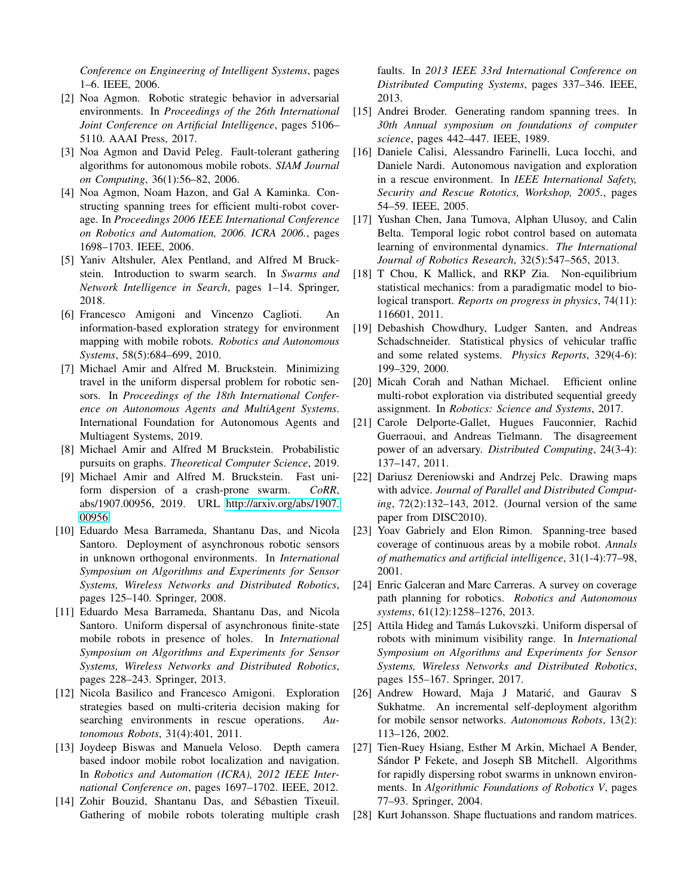*Conference on Engineering of Intelligent Systems*, pages 1–6. IEEE, 2006.

- <span id="page-8-23"></span>[2] Noa Agmon. Robotic strategic behavior in adversarial environments. In *Proceedings of the 26th International Joint Conference on Artificial Intelligence*, pages 5106– 5110. AAAI Press, 2017.
- <span id="page-8-20"></span>[3] Noa Agmon and David Peleg. Fault-tolerant gathering algorithms for autonomous mobile robots. *SIAM Journal on Computing*, 36(1):56–82, 2006.
- <span id="page-8-12"></span>[4] Noa Agmon, Noam Hazon, and Gal A Kaminka. Constructing spanning trees for efficient multi-robot coverage. In *Proceedings 2006 IEEE International Conference on Robotics and Automation, 2006. ICRA 2006.*, pages 1698–1703. IEEE, 2006.
- <span id="page-8-7"></span>[5] Yaniv Altshuler, Alex Pentland, and Alfred M Bruckstein. Introduction to swarm search. In *Swarms and Network Intelligence in Search*, pages 1–14. Springer, 2018.
- <span id="page-8-1"></span>[6] Francesco Amigoni and Vincenzo Caglioti. An information-based exploration strategy for environment mapping with mobile robots. *Robotics and Autonomous Systems*, 58(5):684–699, 2010.
- <span id="page-8-16"></span>[7] Michael Amir and Alfred M. Bruckstein. Minimizing travel in the uniform dispersal problem for robotic sensors. In *Proceedings of the 18th International Conference on Autonomous Agents and MultiAgent Systems*. International Foundation for Autonomous Agents and Multiagent Systems, 2019.
- <span id="page-8-26"></span>[8] Michael Amir and Alfred M Bruckstein. Probabilistic pursuits on graphs. *Theoretical Computer Science*, 2019.
- <span id="page-8-25"></span>[9] Michael Amir and Alfred M. Bruckstein. Fast uniform dispersion of a crash-prone swarm. *CoRR*, abs/1907.00956, 2019. URL [http://arxiv.org/abs/1907.](http://arxiv.org/abs/1907.00956) [00956.](http://arxiv.org/abs/1907.00956)
- <span id="page-8-18"></span>[10] Eduardo Mesa Barrameda, Shantanu Das, and Nicola Santoro. Deployment of asynchronous robotic sensors in unknown orthogonal environments. In *International Symposium on Algorithms and Experiments for Sensor Systems, Wireless Networks and Distributed Robotics*, pages 125–140. Springer, 2008.
- <span id="page-8-19"></span>[11] Eduardo Mesa Barrameda, Shantanu Das, and Nicola Santoro. Uniform dispersal of asynchronous finite-state mobile robots in presence of holes. In *International Symposium on Algorithms and Experiments for Sensor Systems, Wireless Networks and Distributed Robotics*, pages 228–243. Springer, 2013.
- <span id="page-8-6"></span>[12] Nicola Basilico and Francesco Amigoni. Exploration strategies based on multi-criteria decision making for searching environments in rescue operations. *Autonomous Robots*, 31(4):401, 2011.
- <span id="page-8-24"></span>[13] Joydeep Biswas and Manuela Veloso. Depth camera based indoor mobile robot localization and navigation. In *Robotics and Automation (ICRA), 2012 IEEE International Conference on*, pages 1697–1702. IEEE, 2012.
- <span id="page-8-21"></span>[14] Zohir Bouzid, Shantanu Das, and Sébastien Tixeuil. Gathering of mobile robots tolerating multiple crash

faults. In *2013 IEEE 33rd International Conference on Distributed Computing Systems*, pages 337–346. IEEE, 2013.

- <span id="page-8-13"></span>[15] Andrei Broder. Generating random spanning trees. In *30th Annual symposium on foundations of computer science*, pages 442–447. IEEE, 1989.
- <span id="page-8-5"></span>[16] Daniele Calisi, Alessandro Farinelli, Luca Iocchi, and Daniele Nardi. Autonomous navigation and exploration in a rescue environment. In *IEEE International Safety, Security and Rescue Rototics, Workshop, 2005.*, pages 54–59. IEEE, 2005.
- <span id="page-8-4"></span>[17] Yushan Chen, Jana Tumova, Alphan Ulusoy, and Calin Belta. Temporal logic robot control based on automata learning of environmental dynamics. *The International Journal of Robotics Research*, 32(5):547–565, 2013.
- <span id="page-8-10"></span>[18] T Chou, K Mallick, and RKP Zia. Non-equilibrium statistical mechanics: from a paradigmatic model to biological transport. *Reports on progress in physics*, 74(11): 116601, 2011.
- <span id="page-8-9"></span>[19] Debashish Chowdhury, Ludger Santen, and Andreas Schadschneider. Statistical physics of vehicular traffic and some related systems. *Physics Reports*, 329(4-6): 199–329, 2000.
- <span id="page-8-3"></span>[20] Micah Corah and Nathan Michael. Efficient online multi-robot exploration via distributed sequential greedy assignment. In *Robotics: Science and Systems*, 2017.
- <span id="page-8-22"></span>[21] Carole Delporte-Gallet, Hugues Fauconnier, Rachid Guerraoui, and Andreas Tielmann. The disagreement power of an adversary. *Distributed Computing*, 24(3-4): 137–147, 2011.
- <span id="page-8-14"></span>[22] Dariusz Dereniowski and Andrzej Pelc. Drawing maps with advice. *Journal of Parallel and Distributed Computing*, 72(2):132–143, 2012. (Journal version of the same paper from DISC2010).
- <span id="page-8-15"></span>[23] Yoav Gabriely and Elon Rimon. Spanning-tree based coverage of continuous areas by a mobile robot. *Annals of mathematics and artificial intelligence*, 31(1-4):77–98, 2001.
- <span id="page-8-8"></span>[24] Enric Galceran and Marc Carreras. A survey on coverage path planning for robotics. *Robotics and Autonomous systems*, 61(12):1258–1276, 2013.
- <span id="page-8-17"></span>[25] Attila Hideg and Tamás Lukovszki. Uniform dispersal of robots with minimum visibility range. In *International Symposium on Algorithms and Experiments for Sensor Systems, Wireless Networks and Distributed Robotics*, pages 155–167. Springer, 2017.
- <span id="page-8-2"></span>[26] Andrew Howard, Maja J Matarić, and Gaurav S Sukhatme. An incremental self-deployment algorithm for mobile sensor networks. *Autonomous Robots*, 13(2): 113–126, 2002.
- <span id="page-8-0"></span>[27] Tien-Ruey Hsiang, Esther M Arkin, Michael A Bender, Sándor P Fekete, and Joseph SB Mitchell. Algorithms for rapidly dispersing robot swarms in unknown environments. In *Algorithmic Foundations of Robotics V*, pages 77–93. Springer, 2004.
- <span id="page-8-11"></span>[28] Kurt Johansson. Shape fluctuations and random matrices.